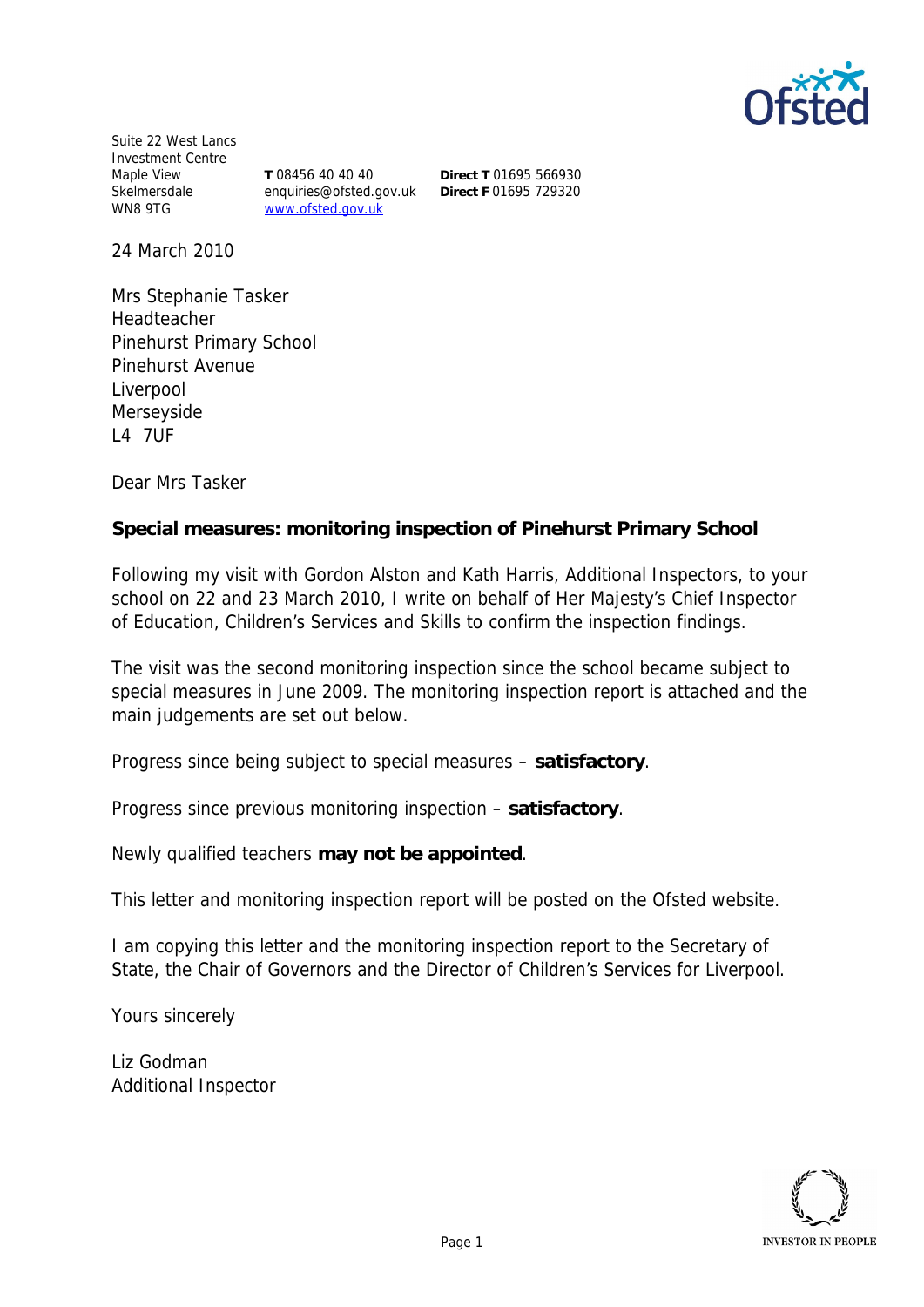

Suite 22 West Lancs Investment Centre Maple View **Skelmersdale**<br>Skelmersdale WN8 9TG

**T** 08456 40 40 40 enquiries@ofsted.gov.uk www.ofsted.gov.uk

**Direct T** 01695 566930 **Direct F** 01695 729320

24 March 2010

Mrs Stephanie Tasker Headteacher Pinehurst Primary School Pinehurst Avenue Liverpool Merseyside L4 7UF

Dear Mrs Tasker

**Special measures: monitoring inspection of Pinehurst Primary School**

Following my visit with Gordon Alston and Kath Harris, Additional Inspectors, to your school on 22 and 23 March 2010, I write on behalf of Her Majesty's Chief Inspector of Education, Children's Services and Skills to confirm the inspection findings.

The visit was the second monitoring inspection since the school became subject to special measures in June 2009. The monitoring inspection report is attached and the main judgements are set out below.

Progress since being subject to special measures *–* **satisfactory**.

Progress since previous monitoring inspection – **satisfactory**.

Newly qualified teachers **may not be appointed**.

This letter and monitoring inspection report will be posted on the Ofsted website.

I am copying this letter and the monitoring inspection report to the Secretary of State, the Chair of Governors and the Director of Children's Services for Liverpool.

Yours sincerely

Liz Godman Additional Inspector

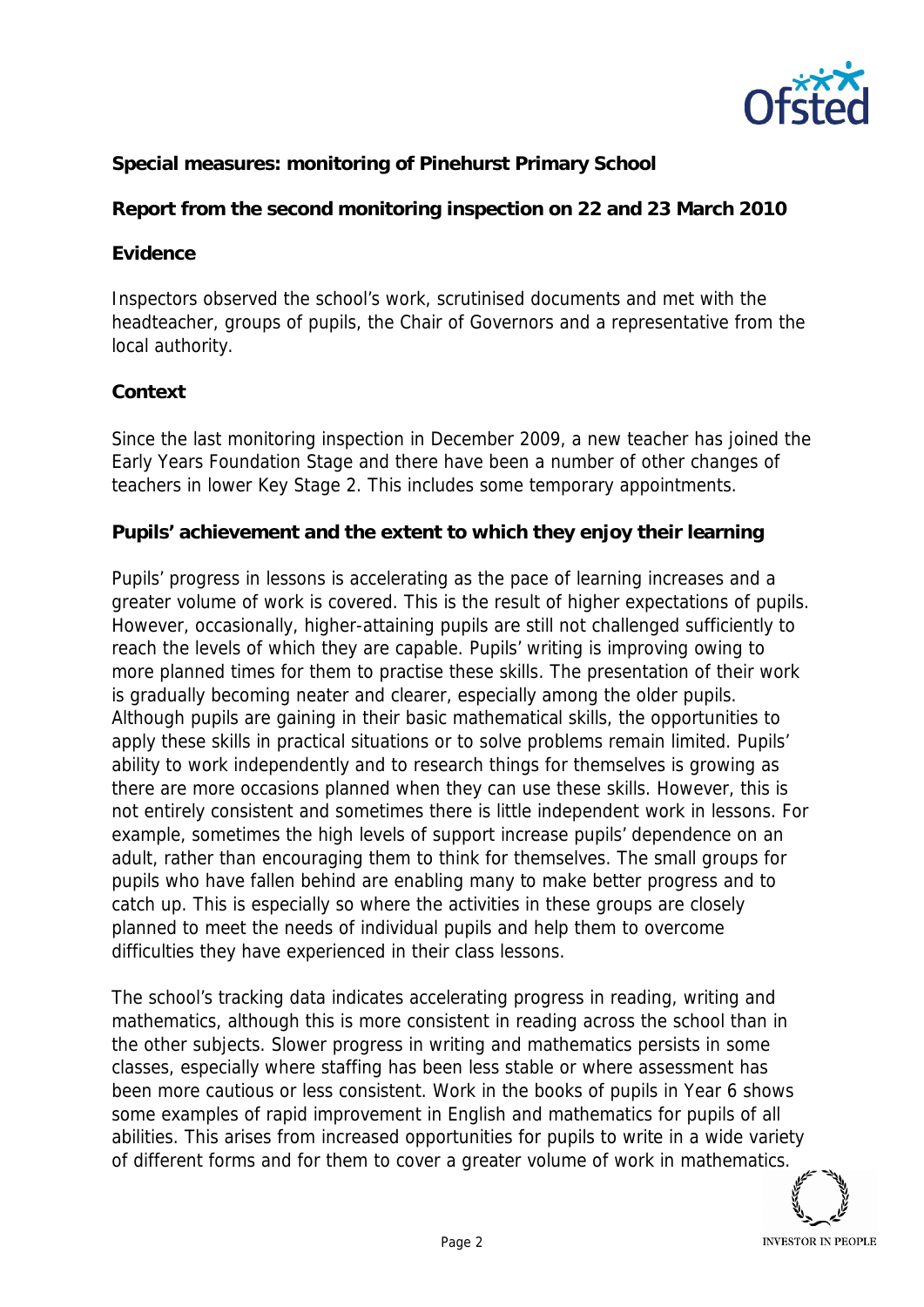

**Special measures: monitoring of Pinehurst Primary School**

**Report from the second monitoring inspection on 22 and 23 March 2010**

## **Evidence**

Inspectors observed the school's work, scrutinised documents and met with the headteacher, groups of pupils, the Chair of Governors and a representative from the local authority.

## **Context**

Since the last monitoring inspection in December 2009, a new teacher has joined the Early Years Foundation Stage and there have been a number of other changes of teachers in lower Key Stage 2. This includes some temporary appointments.

**Pupils' achievement and the extent to which they enjoy their learning**

Pupils' progress in lessons is accelerating as the pace of learning increases and a greater volume of work is covered. This is the result of higher expectations of pupils. However, occasionally, higher-attaining pupils are still not challenged sufficiently to reach the levels of which they are capable. Pupils' writing is improving owing to more planned times for them to practise these skills. The presentation of their work is gradually becoming neater and clearer, especially among the older pupils. Although pupils are gaining in their basic mathematical skills, the opportunities to apply these skills in practical situations or to solve problems remain limited. Pupils' ability to work independently and to research things for themselves is growing as there are more occasions planned when they can use these skills. However, this is not entirely consistent and sometimes there is little independent work in lessons. For example, sometimes the high levels of support increase pupils' dependence on an adult, rather than encouraging them to think for themselves. The small groups for pupils who have fallen behind are enabling many to make better progress and to catch up. This is especially so where the activities in these groups are closely planned to meet the needs of individual pupils and help them to overcome difficulties they have experienced in their class lessons.

The school's tracking data indicates accelerating progress in reading, writing and mathematics, although this is more consistent in reading across the school than in the other subjects. Slower progress in writing and mathematics persists in some classes, especially where staffing has been less stable or where assessment has been more cautious or less consistent. Work in the books of pupils in Year 6 shows some examples of rapid improvement in English and mathematics for pupils of all abilities. This arises from increased opportunities for pupils to write in a wide variety of different forms and for them to cover a greater volume of work in mathematics.

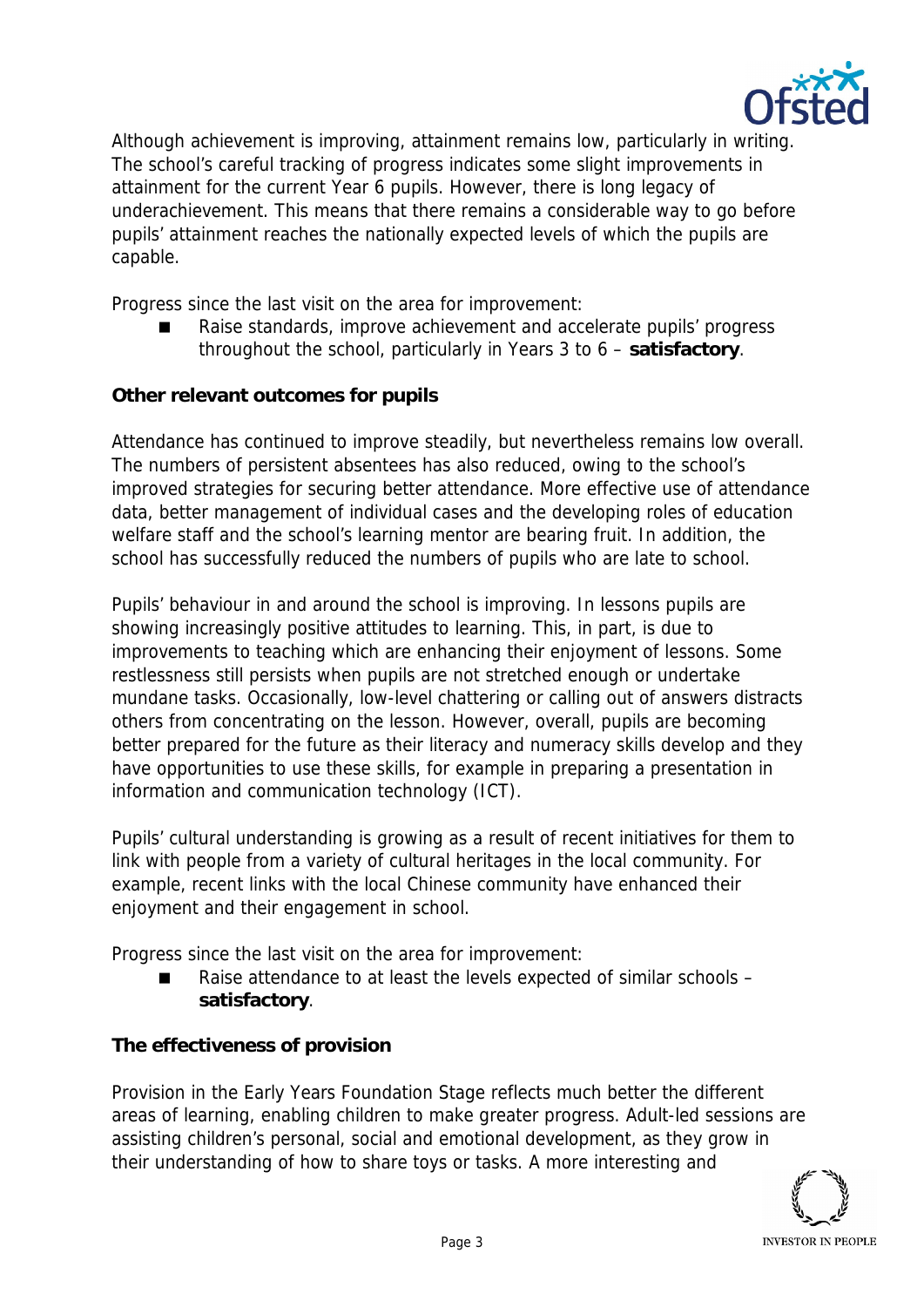

Although achievement is improving, attainment remains low, particularly in writing. The school's careful tracking of progress indicates some slight improvements in attainment for the current Year 6 pupils. However, there is long legacy of underachievement. This means that there remains a considerable way to go before pupils' attainment reaches the nationally expected levels of which the pupils are capable.

Progress since the last visit on the area for improvement:

 Raise standards, improve achievement and accelerate pupils' progress throughout the school, particularly in Years 3 to 6 – **satisfactory**.

**Other relevant outcomes for pupils**

Attendance has continued to improve steadily, but nevertheless remains low overall. The numbers of persistent absentees has also reduced, owing to the school's improved strategies for securing better attendance. More effective use of attendance data, better management of individual cases and the developing roles of education welfare staff and the school's learning mentor are bearing fruit. In addition, the school has successfully reduced the numbers of pupils who are late to school.

Pupils' behaviour in and around the school is improving. In lessons pupils are showing increasingly positive attitudes to learning. This, in part, is due to improvements to teaching which are enhancing their enjoyment of lessons. Some restlessness still persists when pupils are not stretched enough or undertake mundane tasks. Occasionally, low-level chattering or calling out of answers distracts others from concentrating on the lesson. However, overall, pupils are becoming better prepared for the future as their literacy and numeracy skills develop and they have opportunities to use these skills, for example in preparing a presentation in information and communication technology (ICT).

Pupils' cultural understanding is growing as a result of recent initiatives for them to link with people from a variety of cultural heritages in the local community. For example, recent links with the local Chinese community have enhanced their enjoyment and their engagement in school.

Progress since the last visit on the area for improvement:

■ Raise attendance to at least the levels expected of similar schools – **satisfactory**.

**The effectiveness of provision**

Provision in the Early Years Foundation Stage reflects much better the different areas of learning, enabling children to make greater progress. Adult-led sessions are assisting children's personal, social and emotional development, as they grow in their understanding of how to share toys or tasks. A more interesting and

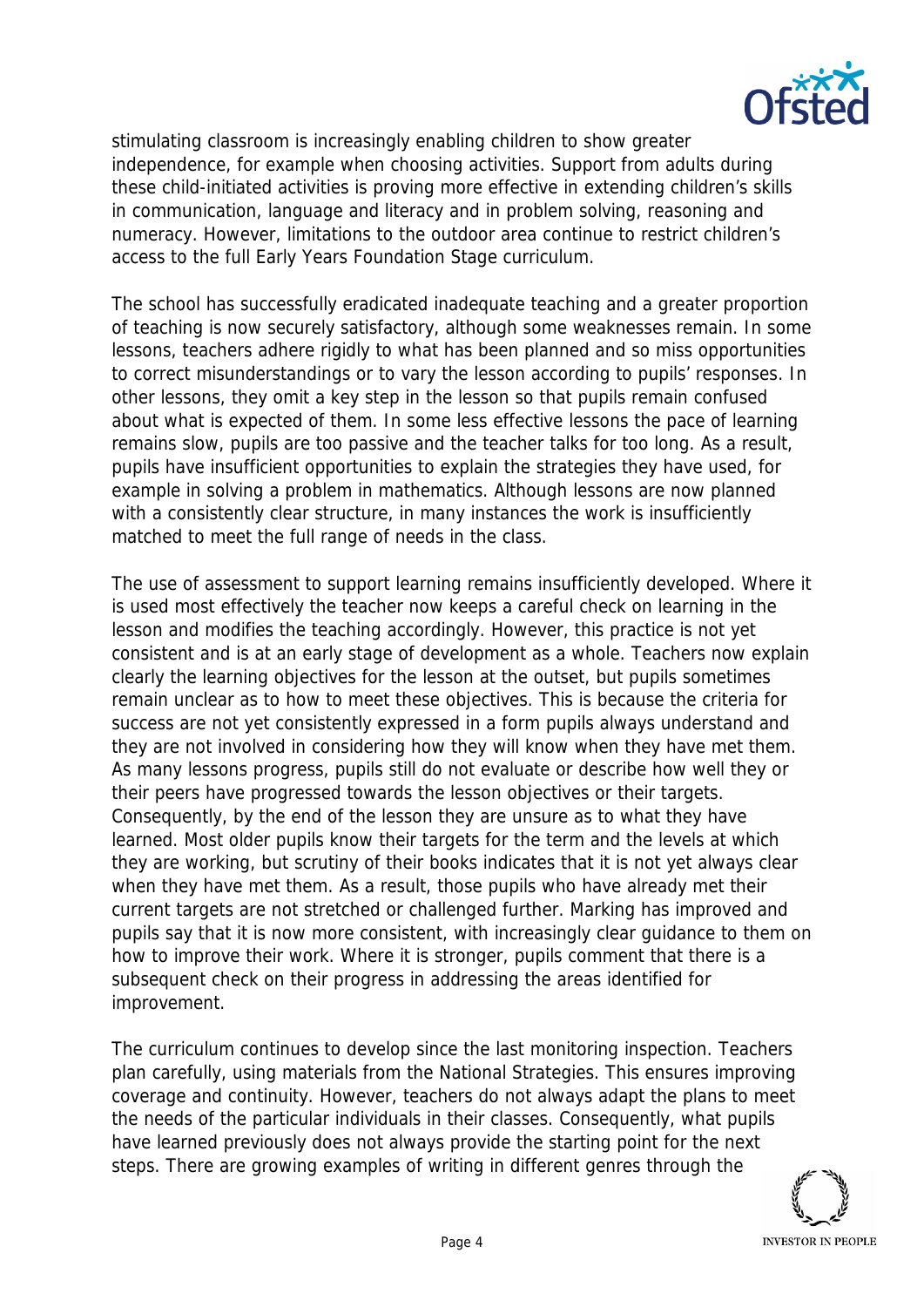

stimulating classroom is increasingly enabling children to show greater independence, for example when choosing activities. Support from adults during these child-initiated activities is proving more effective in extending children's skills in communication, language and literacy and in problem solving, reasoning and numeracy. However, limitations to the outdoor area continue to restrict children's access to the full Early Years Foundation Stage curriculum.

The school has successfully eradicated inadequate teaching and a greater proportion of teaching is now securely satisfactory, although some weaknesses remain. In some lessons, teachers adhere rigidly to what has been planned and so miss opportunities to correct misunderstandings or to vary the lesson according to pupils' responses. In other lessons, they omit a key step in the lesson so that pupils remain confused about what is expected of them. In some less effective lessons the pace of learning remains slow, pupils are too passive and the teacher talks for too long. As a result, pupils have insufficient opportunities to explain the strategies they have used, for example in solving a problem in mathematics. Although lessons are now planned with a consistently clear structure, in many instances the work is insufficiently matched to meet the full range of needs in the class.

The use of assessment to support learning remains insufficiently developed. Where it is used most effectively the teacher now keeps a careful check on learning in the lesson and modifies the teaching accordingly. However, this practice is not yet consistent and is at an early stage of development as a whole. Teachers now explain clearly the learning objectives for the lesson at the outset, but pupils sometimes remain unclear as to how to meet these objectives. This is because the criteria for success are not yet consistently expressed in a form pupils always understand and they are not involved in considering how they will know when they have met them. As many lessons progress, pupils still do not evaluate or describe how well they or their peers have progressed towards the lesson objectives or their targets. Consequently, by the end of the lesson they are unsure as to what they have learned. Most older pupils know their targets for the term and the levels at which they are working, but scrutiny of their books indicates that it is not yet always clear when they have met them. As a result, those pupils who have already met their current targets are not stretched or challenged further. Marking has improved and pupils say that it is now more consistent, with increasingly clear guidance to them on how to improve their work. Where it is stronger, pupils comment that there is a subsequent check on their progress in addressing the areas identified for improvement.

The curriculum continues to develop since the last monitoring inspection. Teachers plan carefully, using materials from the National Strategies. This ensures improving coverage and continuity. However, teachers do not always adapt the plans to meet the needs of the particular individuals in their classes. Consequently, what pupils have learned previously does not always provide the starting point for the next steps. There are growing examples of writing in different genres through the

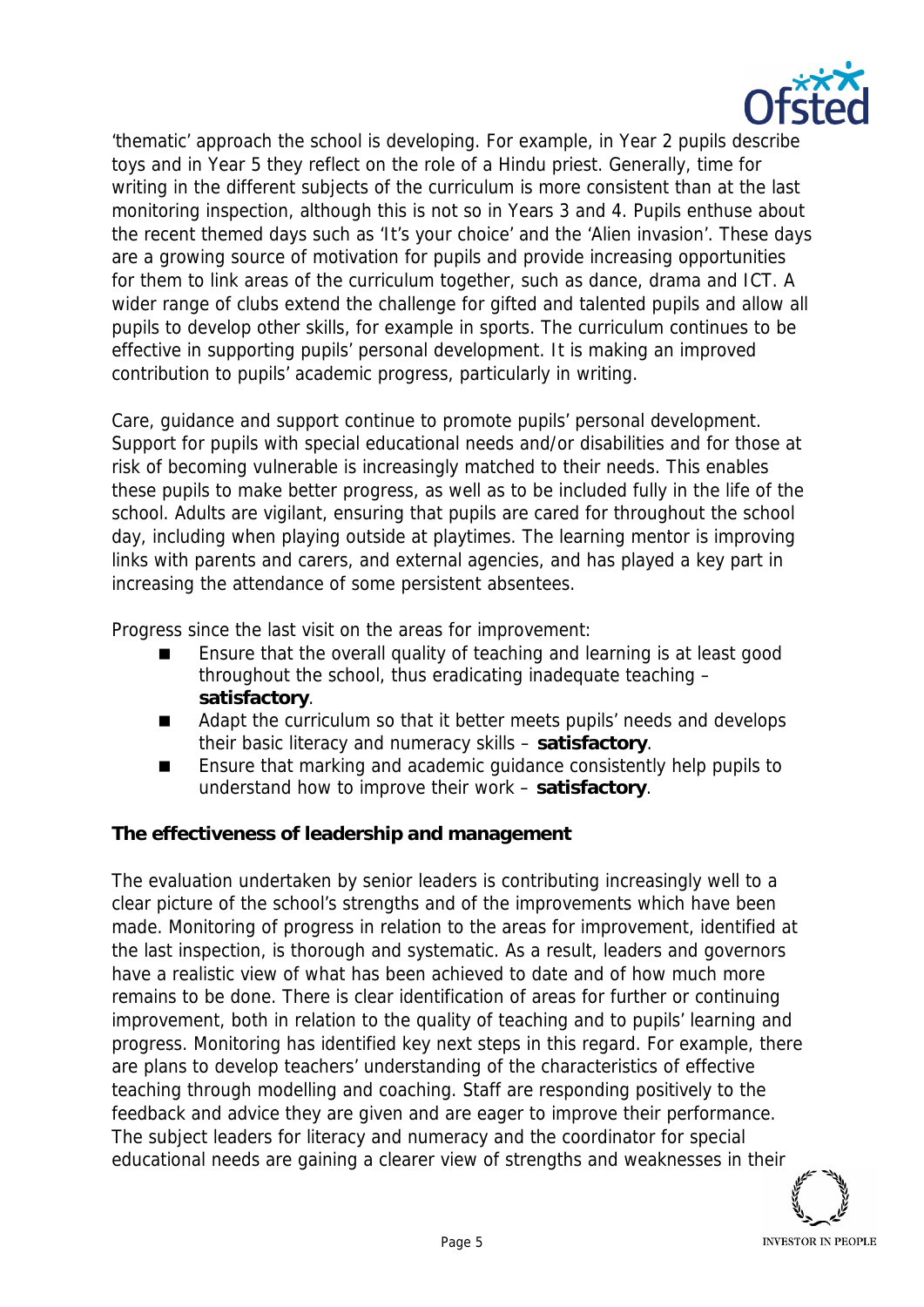

'thematic' approach the school is developing. For example, in Year 2 pupils describe toys and in Year 5 they reflect on the role of a Hindu priest. Generally, time for writing in the different subjects of the curriculum is more consistent than at the last monitoring inspection, although this is not so in Years 3 and 4. Pupils enthuse about the recent themed days such as 'It's your choice' and the 'Alien invasion'. These days are a growing source of motivation for pupils and provide increasing opportunities for them to link areas of the curriculum together, such as dance, drama and ICT. A wider range of clubs extend the challenge for gifted and talented pupils and allow all pupils to develop other skills, for example in sports. The curriculum continues to be effective in supporting pupils' personal development. It is making an improved contribution to pupils' academic progress, particularly in writing.

Care, guidance and support continue to promote pupils' personal development. Support for pupils with special educational needs and/or disabilities and for those at risk of becoming vulnerable is increasingly matched to their needs. This enables these pupils to make better progress, as well as to be included fully in the life of the school. Adults are vigilant, ensuring that pupils are cared for throughout the school day, including when playing outside at playtimes. The learning mentor is improving links with parents and carers, and external agencies, and has played a key part in increasing the attendance of some persistent absentees.

Progress since the last visit on the areas for improvement:

- Ensure that the overall quality of teaching and learning is at least good throughout the school, thus eradicating inadequate teaching – **satisfactory**.
- Adapt the curriculum so that it better meets pupils' needs and develops their basic literacy and numeracy skills – **satisfactory**.
- Ensure that marking and academic quidance consistently help pupils to understand how to improve their work *–* **satisfactory**.

**The effectiveness of leadership and management**

The evaluation undertaken by senior leaders is contributing increasingly well to a clear picture of the school's strengths and of the improvements which have been made. Monitoring of progress in relation to the areas for improvement, identified at the last inspection, is thorough and systematic. As a result, leaders and governors have a realistic view of what has been achieved to date and of how much more remains to be done. There is clear identification of areas for further or continuing improvement, both in relation to the quality of teaching and to pupils' learning and progress. Monitoring has identified key next steps in this regard. For example, there are plans to develop teachers' understanding of the characteristics of effective teaching through modelling and coaching. Staff are responding positively to the feedback and advice they are given and are eager to improve their performance. The subject leaders for literacy and numeracy and the coordinator for special educational needs are gaining a clearer view of strengths and weaknesses in their